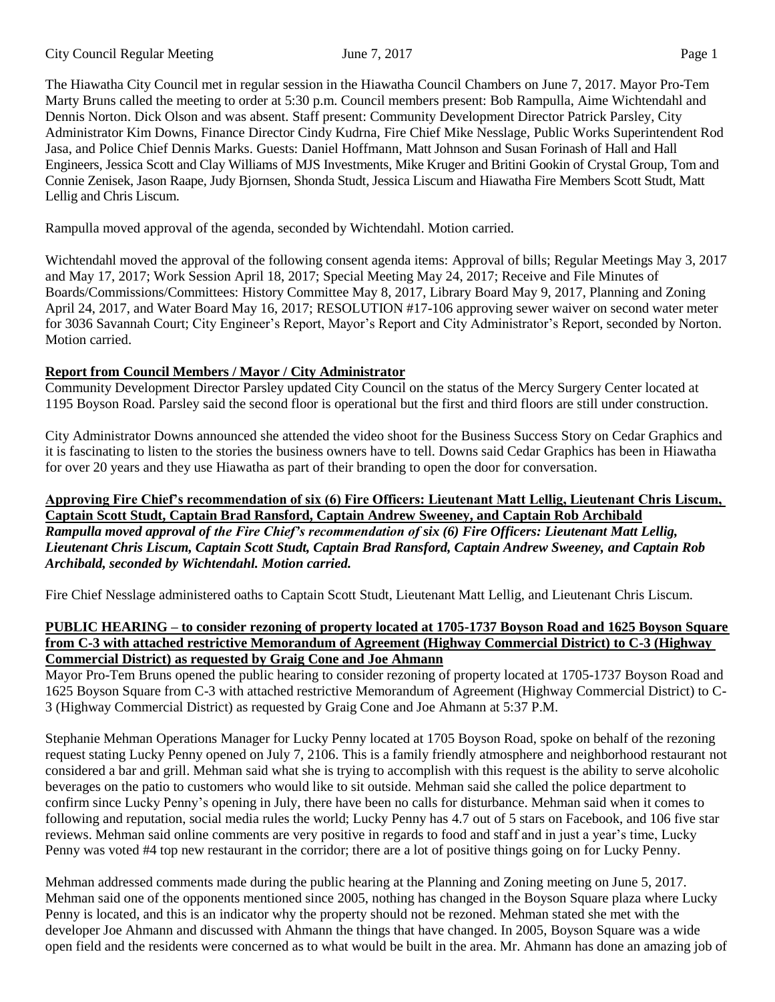City Council Regular Meeting June 7, 2017 **Page 1** 

The Hiawatha City Council met in regular session in the Hiawatha Council Chambers on June 7, 2017. Mayor Pro-Tem Marty Bruns called the meeting to order at 5:30 p.m. Council members present: Bob Rampulla, Aime Wichtendahl and Dennis Norton. Dick Olson and was absent. Staff present: Community Development Director Patrick Parsley, City Administrator Kim Downs, Finance Director Cindy Kudrna, Fire Chief Mike Nesslage, Public Works Superintendent Rod Jasa, and Police Chief Dennis Marks. Guests: Daniel Hoffmann, Matt Johnson and Susan Forinash of Hall and Hall Engineers, Jessica Scott and Clay Williams of MJS Investments, Mike Kruger and Britini Gookin of Crystal Group, Tom and Connie Zenisek, Jason Raape, Judy Bjornsen, Shonda Studt, Jessica Liscum and Hiawatha Fire Members Scott Studt, Matt Lellig and Chris Liscum.

Rampulla moved approval of the agenda, seconded by Wichtendahl. Motion carried.

Wichtendahl moved the approval of the following consent agenda items: Approval of bills; Regular Meetings May 3, 2017 and May 17, 2017; Work Session April 18, 2017; Special Meeting May 24, 2017; Receive and File Minutes of Boards/Commissions/Committees: History Committee May 8, 2017, Library Board May 9, 2017, Planning and Zoning April 24, 2017, and Water Board May 16, 2017; RESOLUTION #17-106 approving sewer waiver on second water meter for 3036 Savannah Court; City Engineer's Report, Mayor's Report and City Administrator's Report, seconded by Norton. Motion carried.

# **Report from Council Members / Mayor / City Administrator**

Community Development Director Parsley updated City Council on the status of the Mercy Surgery Center located at 1195 Boyson Road. Parsley said the second floor is operational but the first and third floors are still under construction.

City Administrator Downs announced she attended the video shoot for the Business Success Story on Cedar Graphics and it is fascinating to listen to the stories the business owners have to tell. Downs said Cedar Graphics has been in Hiawatha for over 20 years and they use Hiawatha as part of their branding to open the door for conversation.

#### **Approving Fire Chief's recommendation of six (6) Fire Officers: Lieutenant Matt Lellig, Lieutenant Chris Liscum, Captain Scott Studt, Captain Brad Ransford, Captain Andrew Sweeney, and Captain Rob Archibald** *Rampulla moved approval of the Fire Chief's recommendation of six (6) Fire Officers: Lieutenant Matt Lellig, Lieutenant Chris Liscum, Captain Scott Studt, Captain Brad Ransford, Captain Andrew Sweeney, and Captain Rob Archibald, seconded by Wichtendahl. Motion carried.*

Fire Chief Nesslage administered oaths to Captain Scott Studt, Lieutenant Matt Lellig, and Lieutenant Chris Liscum.

#### **PUBLIC HEARING – to consider rezoning of property located at 1705-1737 Boyson Road and 1625 Boyson Square from C-3 with attached restrictive Memorandum of Agreement (Highway Commercial District) to C-3 (Highway Commercial District) as requested by Graig Cone and Joe Ahmann**

Mayor Pro-Tem Bruns opened the public hearing to consider rezoning of property located at 1705-1737 Boyson Road and 1625 Boyson Square from C-3 with attached restrictive Memorandum of Agreement (Highway Commercial District) to C-3 (Highway Commercial District) as requested by Graig Cone and Joe Ahmann at 5:37 P.M.

Stephanie Mehman Operations Manager for Lucky Penny located at 1705 Boyson Road, spoke on behalf of the rezoning request stating Lucky Penny opened on July 7, 2106. This is a family friendly atmosphere and neighborhood restaurant not considered a bar and grill. Mehman said what she is trying to accomplish with this request is the ability to serve alcoholic beverages on the patio to customers who would like to sit outside. Mehman said she called the police department to confirm since Lucky Penny's opening in July, there have been no calls for disturbance. Mehman said when it comes to following and reputation, social media rules the world; Lucky Penny has 4.7 out of 5 stars on Facebook, and 106 five star reviews. Mehman said online comments are very positive in regards to food and staff and in just a year's time, Lucky Penny was voted #4 top new restaurant in the corridor; there are a lot of positive things going on for Lucky Penny.

Mehman addressed comments made during the public hearing at the Planning and Zoning meeting on June 5, 2017. Mehman said one of the opponents mentioned since 2005, nothing has changed in the Boyson Square plaza where Lucky Penny is located, and this is an indicator why the property should not be rezoned. Mehman stated she met with the developer Joe Ahmann and discussed with Ahmann the things that have changed. In 2005, Boyson Square was a wide open field and the residents were concerned as to what would be built in the area. Mr. Ahmann has done an amazing job of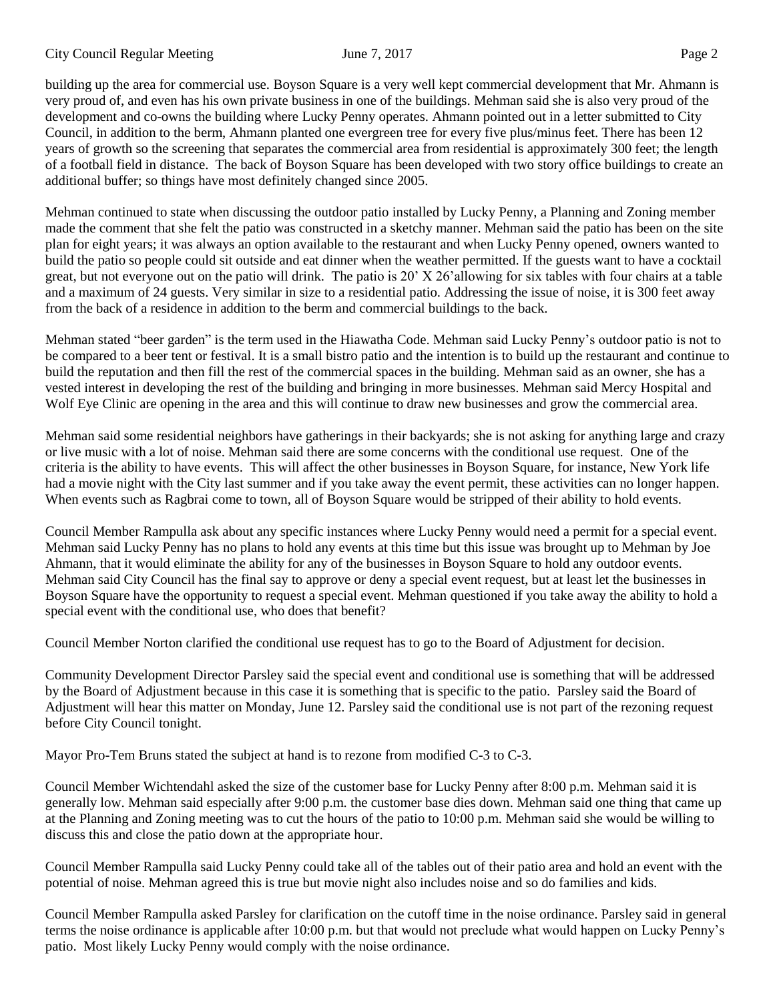building up the area for commercial use. Boyson Square is a very well kept commercial development that Mr. Ahmann is very proud of, and even has his own private business in one of the buildings. Mehman said she is also very proud of the development and co-owns the building where Lucky Penny operates. Ahmann pointed out in a letter submitted to City Council, in addition to the berm, Ahmann planted one evergreen tree for every five plus/minus feet. There has been 12 years of growth so the screening that separates the commercial area from residential is approximately 300 feet; the length of a football field in distance. The back of Boyson Square has been developed with two story office buildings to create an additional buffer; so things have most definitely changed since 2005.

Mehman continued to state when discussing the outdoor patio installed by Lucky Penny, a Planning and Zoning member made the comment that she felt the patio was constructed in a sketchy manner. Mehman said the patio has been on the site plan for eight years; it was always an option available to the restaurant and when Lucky Penny opened, owners wanted to build the patio so people could sit outside and eat dinner when the weather permitted. If the guests want to have a cocktail great, but not everyone out on the patio will drink. The patio is 20' X 26'allowing for six tables with four chairs at a table and a maximum of 24 guests. Very similar in size to a residential patio. Addressing the issue of noise, it is 300 feet away from the back of a residence in addition to the berm and commercial buildings to the back.

Mehman stated "beer garden" is the term used in the Hiawatha Code. Mehman said Lucky Penny's outdoor patio is not to be compared to a beer tent or festival. It is a small bistro patio and the intention is to build up the restaurant and continue to build the reputation and then fill the rest of the commercial spaces in the building. Mehman said as an owner, she has a vested interest in developing the rest of the building and bringing in more businesses. Mehman said Mercy Hospital and Wolf Eye Clinic are opening in the area and this will continue to draw new businesses and grow the commercial area.

Mehman said some residential neighbors have gatherings in their backyards; she is not asking for anything large and crazy or live music with a lot of noise. Mehman said there are some concerns with the conditional use request. One of the criteria is the ability to have events. This will affect the other businesses in Boyson Square, for instance, New York life had a movie night with the City last summer and if you take away the event permit, these activities can no longer happen. When events such as Ragbrai come to town, all of Boyson Square would be stripped of their ability to hold events.

Council Member Rampulla ask about any specific instances where Lucky Penny would need a permit for a special event. Mehman said Lucky Penny has no plans to hold any events at this time but this issue was brought up to Mehman by Joe Ahmann, that it would eliminate the ability for any of the businesses in Boyson Square to hold any outdoor events. Mehman said City Council has the final say to approve or deny a special event request, but at least let the businesses in Boyson Square have the opportunity to request a special event. Mehman questioned if you take away the ability to hold a special event with the conditional use, who does that benefit?

Council Member Norton clarified the conditional use request has to go to the Board of Adjustment for decision.

Community Development Director Parsley said the special event and conditional use is something that will be addressed by the Board of Adjustment because in this case it is something that is specific to the patio. Parsley said the Board of Adjustment will hear this matter on Monday, June 12. Parsley said the conditional use is not part of the rezoning request before City Council tonight.

Mayor Pro-Tem Bruns stated the subject at hand is to rezone from modified C-3 to C-3.

Council Member Wichtendahl asked the size of the customer base for Lucky Penny after 8:00 p.m. Mehman said it is generally low. Mehman said especially after 9:00 p.m. the customer base dies down. Mehman said one thing that came up at the Planning and Zoning meeting was to cut the hours of the patio to 10:00 p.m. Mehman said she would be willing to discuss this and close the patio down at the appropriate hour.

Council Member Rampulla said Lucky Penny could take all of the tables out of their patio area and hold an event with the potential of noise. Mehman agreed this is true but movie night also includes noise and so do families and kids.

Council Member Rampulla asked Parsley for clarification on the cutoff time in the noise ordinance. Parsley said in general terms the noise ordinance is applicable after 10:00 p.m. but that would not preclude what would happen on Lucky Penny's patio. Most likely Lucky Penny would comply with the noise ordinance.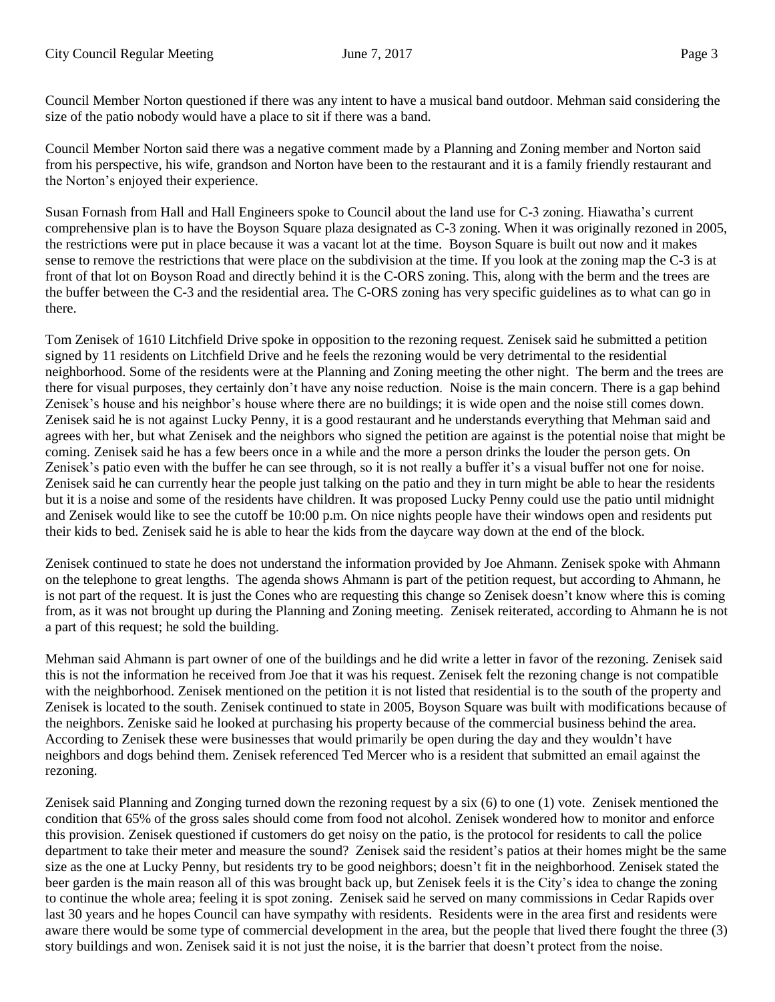Council Member Norton questioned if there was any intent to have a musical band outdoor. Mehman said considering the size of the patio nobody would have a place to sit if there was a band.

Council Member Norton said there was a negative comment made by a Planning and Zoning member and Norton said from his perspective, his wife, grandson and Norton have been to the restaurant and it is a family friendly restaurant and the Norton's enjoyed their experience.

Susan Fornash from Hall and Hall Engineers spoke to Council about the land use for C-3 zoning. Hiawatha's current comprehensive plan is to have the Boyson Square plaza designated as C-3 zoning. When it was originally rezoned in 2005, the restrictions were put in place because it was a vacant lot at the time. Boyson Square is built out now and it makes sense to remove the restrictions that were place on the subdivision at the time. If you look at the zoning map the C-3 is at front of that lot on Boyson Road and directly behind it is the C-ORS zoning. This, along with the berm and the trees are the buffer between the C-3 and the residential area. The C-ORS zoning has very specific guidelines as to what can go in there.

Tom Zenisek of 1610 Litchfield Drive spoke in opposition to the rezoning request. Zenisek said he submitted a petition signed by 11 residents on Litchfield Drive and he feels the rezoning would be very detrimental to the residential neighborhood. Some of the residents were at the Planning and Zoning meeting the other night. The berm and the trees are there for visual purposes, they certainly don't have any noise reduction. Noise is the main concern. There is a gap behind Zenisek's house and his neighbor's house where there are no buildings; it is wide open and the noise still comes down. Zenisek said he is not against Lucky Penny, it is a good restaurant and he understands everything that Mehman said and agrees with her, but what Zenisek and the neighbors who signed the petition are against is the potential noise that might be coming. Zenisek said he has a few beers once in a while and the more a person drinks the louder the person gets. On Zenisek's patio even with the buffer he can see through, so it is not really a buffer it's a visual buffer not one for noise. Zenisek said he can currently hear the people just talking on the patio and they in turn might be able to hear the residents but it is a noise and some of the residents have children. It was proposed Lucky Penny could use the patio until midnight and Zenisek would like to see the cutoff be 10:00 p.m. On nice nights people have their windows open and residents put their kids to bed. Zenisek said he is able to hear the kids from the daycare way down at the end of the block.

Zenisek continued to state he does not understand the information provided by Joe Ahmann. Zenisek spoke with Ahmann on the telephone to great lengths. The agenda shows Ahmann is part of the petition request, but according to Ahmann, he is not part of the request. It is just the Cones who are requesting this change so Zenisek doesn't know where this is coming from, as it was not brought up during the Planning and Zoning meeting. Zenisek reiterated, according to Ahmann he is not a part of this request; he sold the building.

Mehman said Ahmann is part owner of one of the buildings and he did write a letter in favor of the rezoning. Zenisek said this is not the information he received from Joe that it was his request. Zenisek felt the rezoning change is not compatible with the neighborhood. Zenisek mentioned on the petition it is not listed that residential is to the south of the property and Zenisek is located to the south. Zenisek continued to state in 2005, Boyson Square was built with modifications because of the neighbors. Zeniske said he looked at purchasing his property because of the commercial business behind the area. According to Zenisek these were businesses that would primarily be open during the day and they wouldn't have neighbors and dogs behind them. Zenisek referenced Ted Mercer who is a resident that submitted an email against the rezoning.

Zenisek said Planning and Zonging turned down the rezoning request by a six (6) to one (1) vote. Zenisek mentioned the condition that 65% of the gross sales should come from food not alcohol. Zenisek wondered how to monitor and enforce this provision. Zenisek questioned if customers do get noisy on the patio, is the protocol for residents to call the police department to take their meter and measure the sound? Zenisek said the resident's patios at their homes might be the same size as the one at Lucky Penny, but residents try to be good neighbors; doesn't fit in the neighborhood. Zenisek stated the beer garden is the main reason all of this was brought back up, but Zenisek feels it is the City's idea to change the zoning to continue the whole area; feeling it is spot zoning. Zenisek said he served on many commissions in Cedar Rapids over last 30 years and he hopes Council can have sympathy with residents. Residents were in the area first and residents were aware there would be some type of commercial development in the area, but the people that lived there fought the three (3) story buildings and won. Zenisek said it is not just the noise, it is the barrier that doesn't protect from the noise.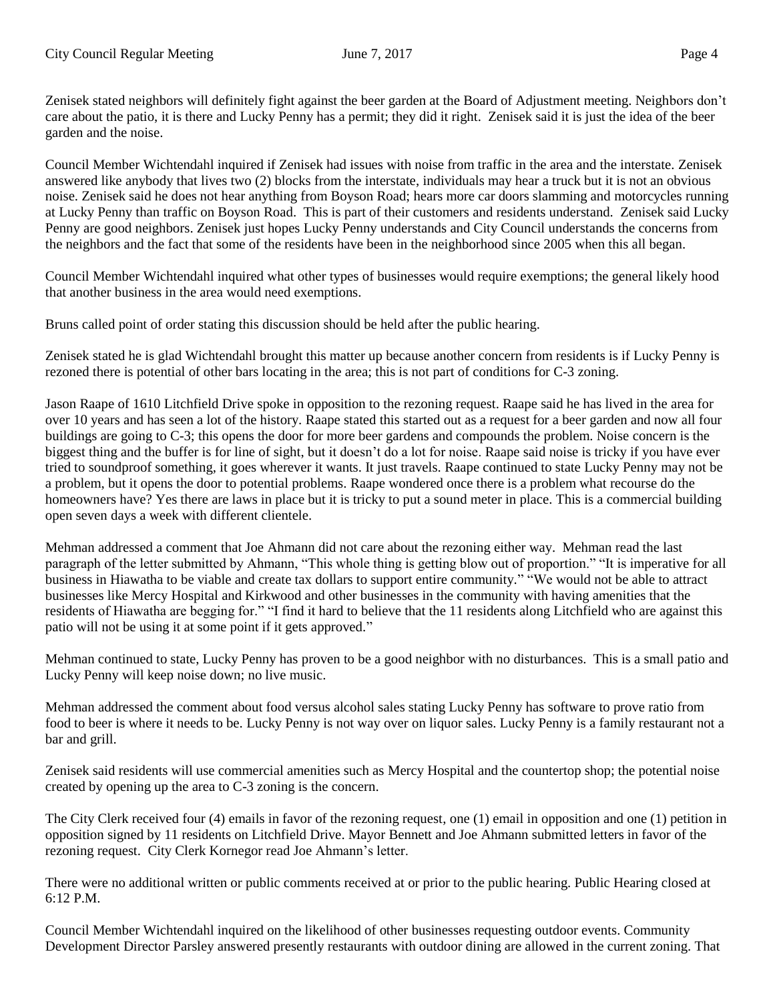Zenisek stated neighbors will definitely fight against the beer garden at the Board of Adjustment meeting. Neighbors don't care about the patio, it is there and Lucky Penny has a permit; they did it right. Zenisek said it is just the idea of the beer garden and the noise.

Council Member Wichtendahl inquired if Zenisek had issues with noise from traffic in the area and the interstate. Zenisek answered like anybody that lives two (2) blocks from the interstate, individuals may hear a truck but it is not an obvious noise. Zenisek said he does not hear anything from Boyson Road; hears more car doors slamming and motorcycles running at Lucky Penny than traffic on Boyson Road. This is part of their customers and residents understand. Zenisek said Lucky Penny are good neighbors. Zenisek just hopes Lucky Penny understands and City Council understands the concerns from the neighbors and the fact that some of the residents have been in the neighborhood since 2005 when this all began.

Council Member Wichtendahl inquired what other types of businesses would require exemptions; the general likely hood that another business in the area would need exemptions.

Bruns called point of order stating this discussion should be held after the public hearing.

Zenisek stated he is glad Wichtendahl brought this matter up because another concern from residents is if Lucky Penny is rezoned there is potential of other bars locating in the area; this is not part of conditions for C-3 zoning.

Jason Raape of 1610 Litchfield Drive spoke in opposition to the rezoning request. Raape said he has lived in the area for over 10 years and has seen a lot of the history. Raape stated this started out as a request for a beer garden and now all four buildings are going to C-3; this opens the door for more beer gardens and compounds the problem. Noise concern is the biggest thing and the buffer is for line of sight, but it doesn't do a lot for noise. Raape said noise is tricky if you have ever tried to soundproof something, it goes wherever it wants. It just travels. Raape continued to state Lucky Penny may not be a problem, but it opens the door to potential problems. Raape wondered once there is a problem what recourse do the homeowners have? Yes there are laws in place but it is tricky to put a sound meter in place. This is a commercial building open seven days a week with different clientele.

Mehman addressed a comment that Joe Ahmann did not care about the rezoning either way. Mehman read the last paragraph of the letter submitted by Ahmann, "This whole thing is getting blow out of proportion." "It is imperative for all business in Hiawatha to be viable and create tax dollars to support entire community." "We would not be able to attract businesses like Mercy Hospital and Kirkwood and other businesses in the community with having amenities that the residents of Hiawatha are begging for." "I find it hard to believe that the 11 residents along Litchfield who are against this patio will not be using it at some point if it gets approved."

Mehman continued to state, Lucky Penny has proven to be a good neighbor with no disturbances. This is a small patio and Lucky Penny will keep noise down; no live music.

Mehman addressed the comment about food versus alcohol sales stating Lucky Penny has software to prove ratio from food to beer is where it needs to be. Lucky Penny is not way over on liquor sales. Lucky Penny is a family restaurant not a bar and grill.

Zenisek said residents will use commercial amenities such as Mercy Hospital and the countertop shop; the potential noise created by opening up the area to C-3 zoning is the concern.

The City Clerk received four (4) emails in favor of the rezoning request, one (1) email in opposition and one (1) petition in opposition signed by 11 residents on Litchfield Drive. Mayor Bennett and Joe Ahmann submitted letters in favor of the rezoning request. City Clerk Kornegor read Joe Ahmann's letter.

There were no additional written or public comments received at or prior to the public hearing. Public Hearing closed at  $6:12 \, \text{P.M.}$ 

Council Member Wichtendahl inquired on the likelihood of other businesses requesting outdoor events. Community Development Director Parsley answered presently restaurants with outdoor dining are allowed in the current zoning. That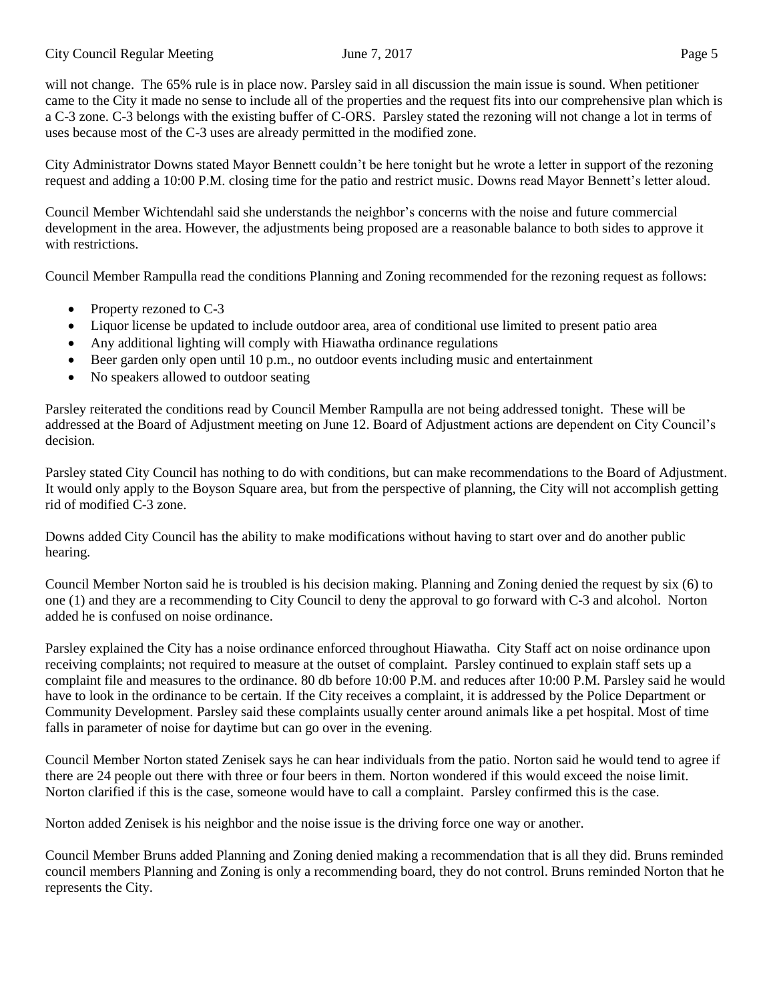will not change. The 65% rule is in place now. Parsley said in all discussion the main issue is sound. When petitioner came to the City it made no sense to include all of the properties and the request fits into our comprehensive plan which is a C-3 zone. C-3 belongs with the existing buffer of C-ORS. Parsley stated the rezoning will not change a lot in terms of uses because most of the C-3 uses are already permitted in the modified zone.

City Administrator Downs stated Mayor Bennett couldn't be here tonight but he wrote a letter in support of the rezoning request and adding a 10:00 P.M. closing time for the patio and restrict music. Downs read Mayor Bennett's letter aloud.

Council Member Wichtendahl said she understands the neighbor's concerns with the noise and future commercial development in the area. However, the adjustments being proposed are a reasonable balance to both sides to approve it with restrictions.

Council Member Rampulla read the conditions Planning and Zoning recommended for the rezoning request as follows:

- Property rezoned to C-3
- Liquor license be updated to include outdoor area, area of conditional use limited to present patio area
- Any additional lighting will comply with Hiawatha ordinance regulations
- Beer garden only open until 10 p.m., no outdoor events including music and entertainment
- No speakers allowed to outdoor seating

Parsley reiterated the conditions read by Council Member Rampulla are not being addressed tonight. These will be addressed at the Board of Adjustment meeting on June 12. Board of Adjustment actions are dependent on City Council's decision.

Parsley stated City Council has nothing to do with conditions, but can make recommendations to the Board of Adjustment. It would only apply to the Boyson Square area, but from the perspective of planning, the City will not accomplish getting rid of modified C-3 zone.

Downs added City Council has the ability to make modifications without having to start over and do another public hearing.

Council Member Norton said he is troubled is his decision making. Planning and Zoning denied the request by six (6) to one (1) and they are a recommending to City Council to deny the approval to go forward with C-3 and alcohol. Norton added he is confused on noise ordinance.

Parsley explained the City has a noise ordinance enforced throughout Hiawatha. City Staff act on noise ordinance upon receiving complaints; not required to measure at the outset of complaint. Parsley continued to explain staff sets up a complaint file and measures to the ordinance. 80 db before 10:00 P.M. and reduces after 10:00 P.M. Parsley said he would have to look in the ordinance to be certain. If the City receives a complaint, it is addressed by the Police Department or Community Development. Parsley said these complaints usually center around animals like a pet hospital. Most of time falls in parameter of noise for daytime but can go over in the evening.

Council Member Norton stated Zenisek says he can hear individuals from the patio. Norton said he would tend to agree if there are 24 people out there with three or four beers in them. Norton wondered if this would exceed the noise limit. Norton clarified if this is the case, someone would have to call a complaint. Parsley confirmed this is the case.

Norton added Zenisek is his neighbor and the noise issue is the driving force one way or another.

Council Member Bruns added Planning and Zoning denied making a recommendation that is all they did. Bruns reminded council members Planning and Zoning is only a recommending board, they do not control. Bruns reminded Norton that he represents the City.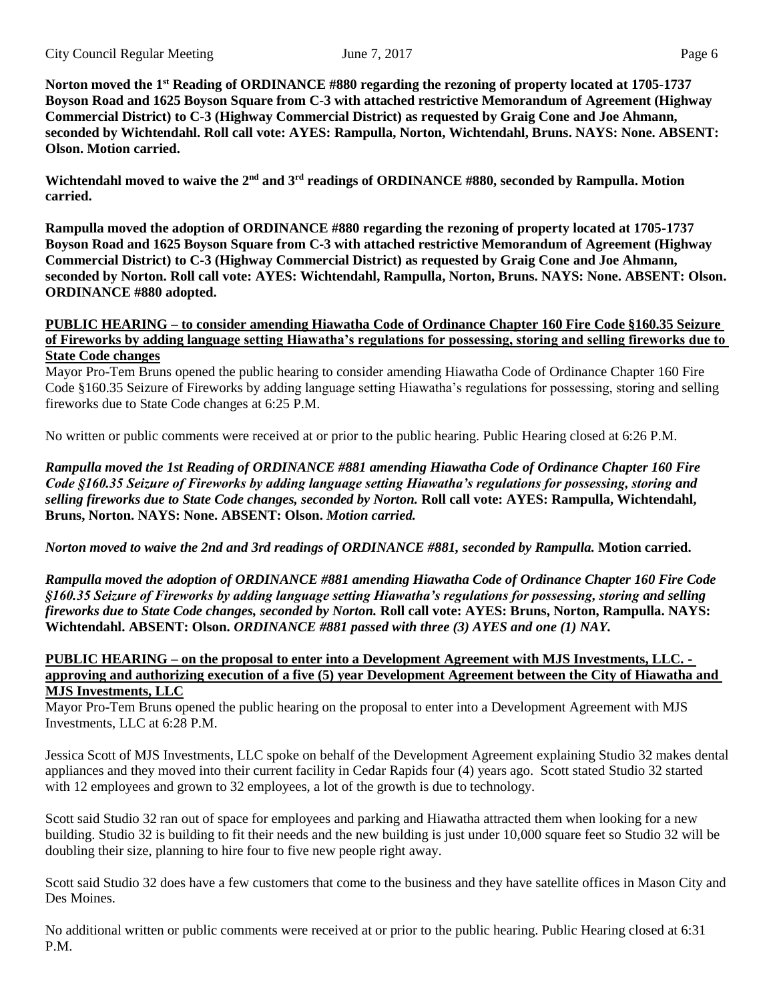**Norton moved the 1st Reading of ORDINANCE #880 regarding the rezoning of property located at 1705-1737 Boyson Road and 1625 Boyson Square from C-3 with attached restrictive Memorandum of Agreement (Highway Commercial District) to C-3 (Highway Commercial District) as requested by Graig Cone and Joe Ahmann, seconded by Wichtendahl. Roll call vote: AYES: Rampulla, Norton, Wichtendahl, Bruns. NAYS: None. ABSENT: Olson. Motion carried.**

**Wichtendahl moved to waive the 2nd and 3 rd readings of ORDINANCE #880, seconded by Rampulla. Motion carried.**

**Rampulla moved the adoption of ORDINANCE #880 regarding the rezoning of property located at 1705-1737 Boyson Road and 1625 Boyson Square from C-3 with attached restrictive Memorandum of Agreement (Highway Commercial District) to C-3 (Highway Commercial District) as requested by Graig Cone and Joe Ahmann, seconded by Norton. Roll call vote: AYES: Wichtendahl, Rampulla, Norton, Bruns. NAYS: None. ABSENT: Olson. ORDINANCE #880 adopted.**

#### **PUBLIC HEARING – to consider amending Hiawatha Code of Ordinance Chapter 160 Fire Code §160.35 Seizure of Fireworks by adding language setting Hiawatha's regulations for possessing, storing and selling fireworks due to State Code changes**

Mayor Pro-Tem Bruns opened the public hearing to consider amending Hiawatha Code of Ordinance Chapter 160 Fire Code §160.35 Seizure of Fireworks by adding language setting Hiawatha's regulations for possessing, storing and selling fireworks due to State Code changes at 6:25 P.M.

No written or public comments were received at or prior to the public hearing. Public Hearing closed at 6:26 P.M.

*Rampulla moved the 1st Reading of ORDINANCE #881 amending Hiawatha Code of Ordinance Chapter 160 Fire Code §160.35 Seizure of Fireworks by adding language setting Hiawatha's regulations for possessing, storing and selling fireworks due to State Code changes, seconded by Norton.* **Roll call vote: AYES: Rampulla, Wichtendahl, Bruns, Norton. NAYS: None. ABSENT: Olson.** *Motion carried.*

*Norton moved to waive the 2nd and 3rd readings of ORDINANCE #881, seconded by Rampulla.* **Motion carried.**

*Rampulla moved the adoption of ORDINANCE #881 amending Hiawatha Code of Ordinance Chapter 160 Fire Code §160.35 Seizure of Fireworks by adding language setting Hiawatha's regulations for possessing, storing and selling fireworks due to State Code changes, seconded by Norton.* **Roll call vote: AYES: Bruns, Norton, Rampulla. NAYS: Wichtendahl. ABSENT: Olson.** *ORDINANCE #881 passed with three (3) AYES and one (1) NAY.* 

#### **PUBLIC HEARING – on the proposal to enter into a Development Agreement with MJS Investments, LLC. approving and authorizing execution of a five (5) year Development Agreement between the City of Hiawatha and MJS Investments, LLC**

Mayor Pro-Tem Bruns opened the public hearing on the proposal to enter into a Development Agreement with MJS Investments, LLC at 6:28 P.M.

Jessica Scott of MJS Investments, LLC spoke on behalf of the Development Agreement explaining Studio 32 makes dental appliances and they moved into their current facility in Cedar Rapids four (4) years ago. Scott stated Studio 32 started with 12 employees and grown to 32 employees, a lot of the growth is due to technology.

Scott said Studio 32 ran out of space for employees and parking and Hiawatha attracted them when looking for a new building. Studio 32 is building to fit their needs and the new building is just under 10,000 square feet so Studio 32 will be doubling their size, planning to hire four to five new people right away.

Scott said Studio 32 does have a few customers that come to the business and they have satellite offices in Mason City and Des Moines.

No additional written or public comments were received at or prior to the public hearing. Public Hearing closed at 6:31 P.M.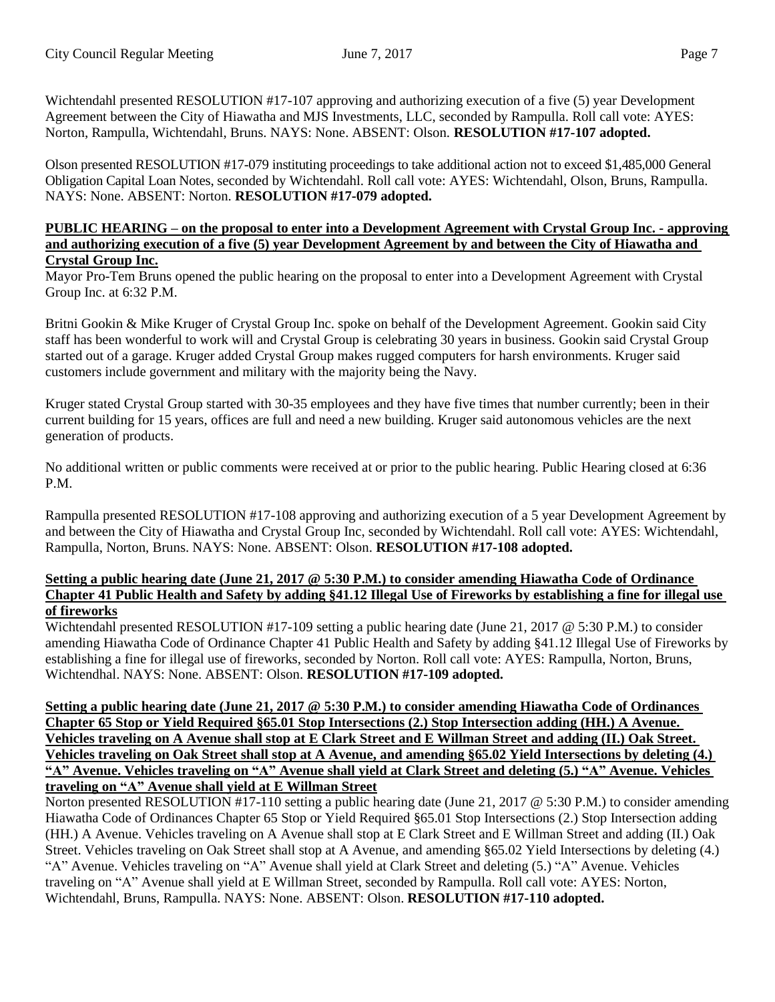Wichtendahl presented RESOLUTION #17-107 approving and authorizing execution of a five (5) year Development Agreement between the City of Hiawatha and MJS Investments, LLC, seconded by Rampulla. Roll call vote: AYES: Norton, Rampulla, Wichtendahl, Bruns. NAYS: None. ABSENT: Olson. **RESOLUTION #17-107 adopted.**

Olson presented RESOLUTION #17-079 instituting proceedings to take additional action not to exceed \$1,485,000 General Obligation Capital Loan Notes, seconded by Wichtendahl. Roll call vote: AYES: Wichtendahl, Olson, Bruns, Rampulla. NAYS: None. ABSENT: Norton. **RESOLUTION #17-079 adopted.**

#### **PUBLIC HEARING – on the proposal to enter into a Development Agreement with Crystal Group Inc. - approving and authorizing execution of a five (5) year Development Agreement by and between the City of Hiawatha and Crystal Group Inc.**

Mayor Pro-Tem Bruns opened the public hearing on the proposal to enter into a Development Agreement with Crystal Group Inc. at 6:32 P.M.

Britni Gookin & Mike Kruger of Crystal Group Inc. spoke on behalf of the Development Agreement. Gookin said City staff has been wonderful to work will and Crystal Group is celebrating 30 years in business. Gookin said Crystal Group started out of a garage. Kruger added Crystal Group makes rugged computers for harsh environments. Kruger said customers include government and military with the majority being the Navy.

Kruger stated Crystal Group started with 30-35 employees and they have five times that number currently; been in their current building for 15 years, offices are full and need a new building. Kruger said autonomous vehicles are the next generation of products.

No additional written or public comments were received at or prior to the public hearing. Public Hearing closed at 6:36 P.M.

Rampulla presented RESOLUTION #17-108 approving and authorizing execution of a 5 year Development Agreement by and between the City of Hiawatha and Crystal Group Inc, seconded by Wichtendahl. Roll call vote: AYES: Wichtendahl, Rampulla, Norton, Bruns. NAYS: None. ABSENT: Olson. **RESOLUTION #17-108 adopted.**

### Setting a public hearing date (June 21, 2017 @ 5:30 P.M.) to consider amending Hiawatha Code of Ordinance Chapter 41 Public Health and Safety by adding §41.12 Illegal Use of Fireworks by establishing a fine for illegal use **of fireworks**

Wichtendahl presented RESOLUTION #17-109 setting a public hearing date (June 21, 2017 @ 5:30 P.M.) to consider amending Hiawatha Code of Ordinance Chapter 41 Public Health and Safety by adding §41.12 Illegal Use of Fireworks by establishing a fine for illegal use of fireworks, seconded by Norton. Roll call vote: AYES: Rampulla, Norton, Bruns, Wichtendhal. NAYS: None. ABSENT: Olson. **RESOLUTION #17-109 adopted.**

#### Setting a public hearing date (June 21, 2017 @ 5:30 P.M.) to consider amending Hiawatha Code of Ordinances **Chapter 65 Stop or Yield Required §65.01 Stop Intersections (2.) Stop Intersection adding (HH.) A Avenue.** Vehicles traveling on A Avenue shall stop at E Clark Street and E Willman Street and adding (II.) Oak Street. Vehicles traveling on Oak Street shall stop at A Avenue, and amending §65.02 Yield Intersections by deleting (4.) "A" Avenue. Vehicles traveling on "A" Avenue shall yield at Clark Street and deleting (5.) "A" Avenue. Vehicles **traveling on "A" Avenue shall yield at E Willman Street**

Norton presented RESOLUTION #17-110 setting a public hearing date (June 21, 2017 @ 5:30 P.M.) to consider amending Hiawatha Code of Ordinances Chapter 65 Stop or Yield Required §65.01 Stop Intersections (2.) Stop Intersection adding (HH.) A Avenue. Vehicles traveling on A Avenue shall stop at E Clark Street and E Willman Street and adding (II.) Oak Street. Vehicles traveling on Oak Street shall stop at A Avenue, and amending §65.02 Yield Intersections by deleting (4.) "A" Avenue. Vehicles traveling on "A" Avenue shall yield at Clark Street and deleting (5.) "A" Avenue. Vehicles traveling on "A" Avenue shall yield at E Willman Street, seconded by Rampulla. Roll call vote: AYES: Norton, Wichtendahl, Bruns, Rampulla. NAYS: None. ABSENT: Olson. **RESOLUTION #17-110 adopted.**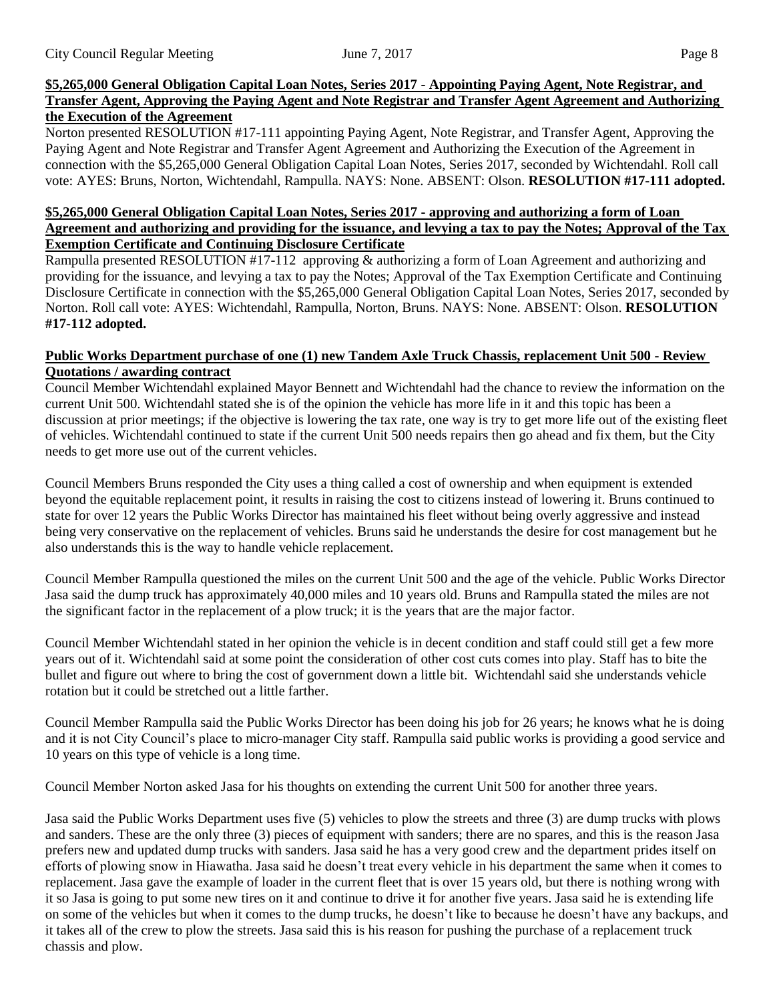# **\$5,265,000 General Obligation Capital Loan Notes, Series 2017 - Appointing Paying Agent, Note Registrar, and Transfer Agent, Approving the Paying Agent and Note Registrar and Transfer Agent Agreement and Authorizing the Execution of the Agreement**

Norton presented RESOLUTION #17-111 appointing Paying Agent, Note Registrar, and Transfer Agent, Approving the Paying Agent and Note Registrar and Transfer Agent Agreement and Authorizing the Execution of the Agreement in connection with the \$5,265,000 General Obligation Capital Loan Notes, Series 2017, seconded by Wichtendahl. Roll call vote: AYES: Bruns, Norton, Wichtendahl, Rampulla. NAYS: None. ABSENT: Olson. **RESOLUTION #17-111 adopted.**

## **\$5,265,000 General Obligation Capital Loan Notes, Series 2017 - approving and authorizing a form of Loan** Agreement and authorizing and providing for the issuance, and levying a tax to pay the Notes; Approval of the Tax **Exemption Certificate and Continuing Disclosure Certificate**

Rampulla presented RESOLUTION #17-112 approving & authorizing a form of Loan Agreement and authorizing and providing for the issuance, and levying a tax to pay the Notes; Approval of the Tax Exemption Certificate and Continuing Disclosure Certificate in connection with the \$5,265,000 General Obligation Capital Loan Notes, Series 2017, seconded by Norton. Roll call vote: AYES: Wichtendahl, Rampulla, Norton, Bruns. NAYS: None. ABSENT: Olson. **RESOLUTION #17-112 adopted.**

## **Public Works Department purchase of one (1) new Tandem Axle Truck Chassis, replacement Unit 500 - Review Quotations / awarding contract**

Council Member Wichtendahl explained Mayor Bennett and Wichtendahl had the chance to review the information on the current Unit 500. Wichtendahl stated she is of the opinion the vehicle has more life in it and this topic has been a discussion at prior meetings; if the objective is lowering the tax rate, one way is try to get more life out of the existing fleet of vehicles. Wichtendahl continued to state if the current Unit 500 needs repairs then go ahead and fix them, but the City needs to get more use out of the current vehicles.

Council Members Bruns responded the City uses a thing called a cost of ownership and when equipment is extended beyond the equitable replacement point, it results in raising the cost to citizens instead of lowering it. Bruns continued to state for over 12 years the Public Works Director has maintained his fleet without being overly aggressive and instead being very conservative on the replacement of vehicles. Bruns said he understands the desire for cost management but he also understands this is the way to handle vehicle replacement.

Council Member Rampulla questioned the miles on the current Unit 500 and the age of the vehicle. Public Works Director Jasa said the dump truck has approximately 40,000 miles and 10 years old. Bruns and Rampulla stated the miles are not the significant factor in the replacement of a plow truck; it is the years that are the major factor.

Council Member Wichtendahl stated in her opinion the vehicle is in decent condition and staff could still get a few more years out of it. Wichtendahl said at some point the consideration of other cost cuts comes into play. Staff has to bite the bullet and figure out where to bring the cost of government down a little bit. Wichtendahl said she understands vehicle rotation but it could be stretched out a little farther.

Council Member Rampulla said the Public Works Director has been doing his job for 26 years; he knows what he is doing and it is not City Council's place to micro-manager City staff. Rampulla said public works is providing a good service and 10 years on this type of vehicle is a long time.

Council Member Norton asked Jasa for his thoughts on extending the current Unit 500 for another three years.

Jasa said the Public Works Department uses five (5) vehicles to plow the streets and three (3) are dump trucks with plows and sanders. These are the only three (3) pieces of equipment with sanders; there are no spares, and this is the reason Jasa prefers new and updated dump trucks with sanders. Jasa said he has a very good crew and the department prides itself on efforts of plowing snow in Hiawatha. Jasa said he doesn't treat every vehicle in his department the same when it comes to replacement. Jasa gave the example of loader in the current fleet that is over 15 years old, but there is nothing wrong with it so Jasa is going to put some new tires on it and continue to drive it for another five years. Jasa said he is extending life on some of the vehicles but when it comes to the dump trucks, he doesn't like to because he doesn't have any backups, and it takes all of the crew to plow the streets. Jasa said this is his reason for pushing the purchase of a replacement truck chassis and plow.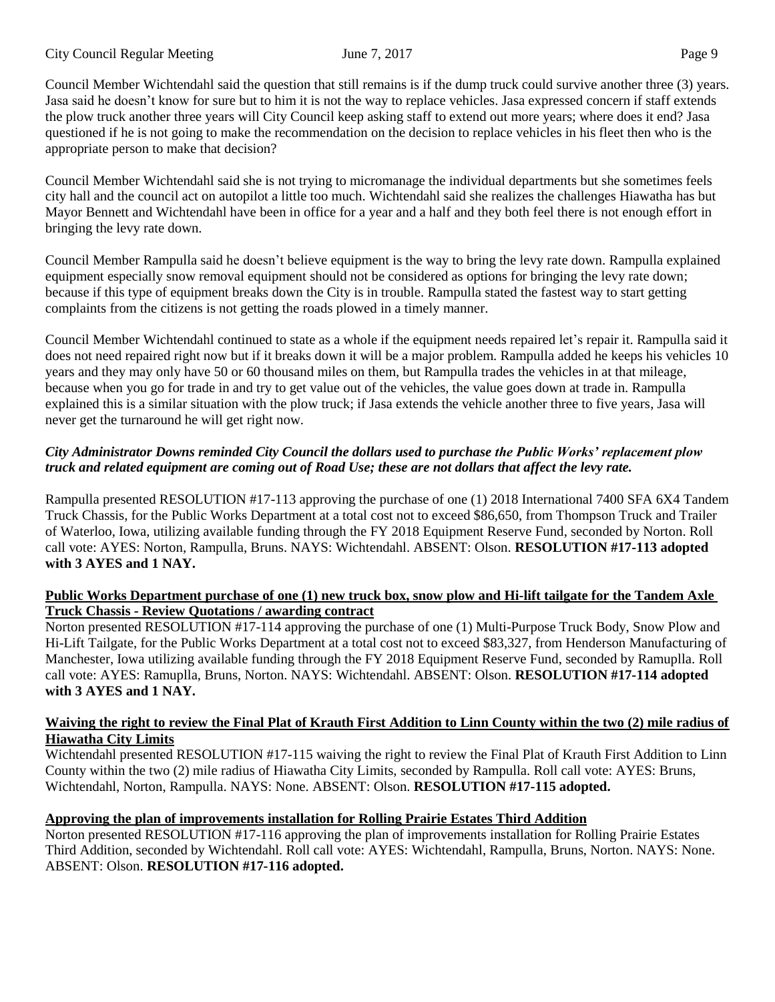Council Member Wichtendahl said the question that still remains is if the dump truck could survive another three (3) years. Jasa said he doesn't know for sure but to him it is not the way to replace vehicles. Jasa expressed concern if staff extends the plow truck another three years will City Council keep asking staff to extend out more years; where does it end? Jasa questioned if he is not going to make the recommendation on the decision to replace vehicles in his fleet then who is the appropriate person to make that decision?

Council Member Wichtendahl said she is not trying to micromanage the individual departments but she sometimes feels city hall and the council act on autopilot a little too much. Wichtendahl said she realizes the challenges Hiawatha has but Mayor Bennett and Wichtendahl have been in office for a year and a half and they both feel there is not enough effort in bringing the levy rate down.

Council Member Rampulla said he doesn't believe equipment is the way to bring the levy rate down. Rampulla explained equipment especially snow removal equipment should not be considered as options for bringing the levy rate down; because if this type of equipment breaks down the City is in trouble. Rampulla stated the fastest way to start getting complaints from the citizens is not getting the roads plowed in a timely manner.

Council Member Wichtendahl continued to state as a whole if the equipment needs repaired let's repair it. Rampulla said it does not need repaired right now but if it breaks down it will be a major problem. Rampulla added he keeps his vehicles 10 years and they may only have 50 or 60 thousand miles on them, but Rampulla trades the vehicles in at that mileage, because when you go for trade in and try to get value out of the vehicles, the value goes down at trade in. Rampulla explained this is a similar situation with the plow truck; if Jasa extends the vehicle another three to five years, Jasa will never get the turnaround he will get right now.

## *City Administrator Downs reminded City Council the dollars used to purchase the Public Works' replacement plow truck and related equipment are coming out of Road Use; these are not dollars that affect the levy rate.*

Rampulla presented RESOLUTION #17-113 approving the purchase of one (1) 2018 International 7400 SFA 6X4 Tandem Truck Chassis, for the Public Works Department at a total cost not to exceed \$86,650, from Thompson Truck and Trailer of Waterloo, Iowa, utilizing available funding through the FY 2018 Equipment Reserve Fund, seconded by Norton. Roll call vote: AYES: Norton, Rampulla, Bruns. NAYS: Wichtendahl. ABSENT: Olson. **RESOLUTION #17-113 adopted with 3 AYES and 1 NAY.**

### **Public Works Department purchase of one (1) new truck box, snow plow and Hi-lift tailgate for the Tandem Axle Truck Chassis - Review Quotations / awarding contract**

Norton presented RESOLUTION #17-114 approving the purchase of one (1) Multi-Purpose Truck Body, Snow Plow and Hi-Lift Tailgate, for the Public Works Department at a total cost not to exceed \$83,327, from Henderson Manufacturing of Manchester, Iowa utilizing available funding through the FY 2018 Equipment Reserve Fund, seconded by Ramuplla. Roll call vote: AYES: Ramuplla, Bruns, Norton. NAYS: Wichtendahl. ABSENT: Olson. **RESOLUTION #17-114 adopted with 3 AYES and 1 NAY.**

### Waiving the right to review the Final Plat of Krauth First Addition to Linn County within the two (2) mile radius of **Hiawatha City Limits**

Wichtendahl presented RESOLUTION #17-115 waiving the right to review the Final Plat of Krauth First Addition to Linn County within the two (2) mile radius of Hiawatha City Limits, seconded by Rampulla. Roll call vote: AYES: Bruns, Wichtendahl, Norton, Rampulla. NAYS: None. ABSENT: Olson. **RESOLUTION #17-115 adopted.**

# **Approving the plan of improvements installation for Rolling Prairie Estates Third Addition**

Norton presented RESOLUTION #17-116 approving the plan of improvements installation for Rolling Prairie Estates Third Addition, seconded by Wichtendahl. Roll call vote: AYES: Wichtendahl, Rampulla, Bruns, Norton. NAYS: None. ABSENT: Olson. **RESOLUTION #17-116 adopted.**